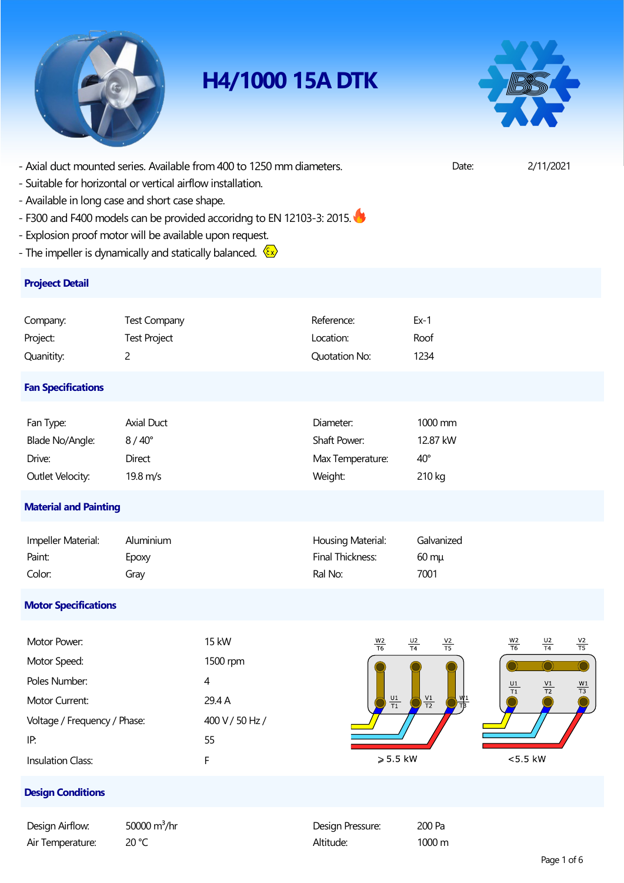

## **H4/1000 15A DTK**



- Axial duct mounted series. Available from 400 to 1250 mm diameters. Date: 2/11/2021

- Suitable for horizontal or vertical airflow installation.
- Available in long case and short case shape.
- F300 and F400 models can be provided accoridng to EN 12103-3: 2015.
- Explosion proof motor will be available upon request.
- The impeller is dynamically and statically balanced.  $\overline{\mathbb{S} \mathbb{Z}}$

### **Projeect Detail**

| Company:                     | <b>Test Company</b> | Reference:           | $Ex-1$       |  |  |  |  |
|------------------------------|---------------------|----------------------|--------------|--|--|--|--|
| Project:                     | <b>Test Project</b> | Location:            | Roof         |  |  |  |  |
| Quanitity:                   | $\overline{c}$      | <b>Quotation No:</b> | 1234         |  |  |  |  |
| <b>Fan Specifications</b>    |                     |                      |              |  |  |  |  |
| Fan Type:                    | Axial Duct          | Diameter:            | 1000 mm      |  |  |  |  |
| Blade No/Angle:              | $8/40^\circ$        | Shaft Power:         | 12.87 kW     |  |  |  |  |
| Drive:                       | Direct              | Max Temperature:     | $40^{\circ}$ |  |  |  |  |
| Outlet Velocity:             | 19.8 m/s            | Weight:              | 210 kg       |  |  |  |  |
| <b>Material and Painting</b> |                     |                      |              |  |  |  |  |

| Impeller Material: | Aluminium    | Housing Material: | Galvanized      |
|--------------------|--------------|-------------------|-----------------|
| Paint:             | <b>EDOXV</b> | Final Thickness:  | $60 \text{ mu}$ |
| Color:             | Grav         | Ral No:           | 7001            |

### **Motor Specifications**

| Motor Power:                 | <b>15 kW</b>    | $\frac{W2}{T6}$               | $\frac{U2}{T4}$ | $\frac{V2}{T5}$ | $\frac{W2}{T6}$<br>$\frac{U2}{T4}$                                     | $\frac{V2}{T5}$               |
|------------------------------|-----------------|-------------------------------|-----------------|-----------------|------------------------------------------------------------------------|-------------------------------|
| Motor Speed:                 | 1500 rpm        |                               |                 |                 |                                                                        |                               |
| Poles Number:                | 4               |                               |                 |                 | $\frac{\mathsf{V1}}{\mathsf{T2}}$<br>$\frac{\mathsf{U1}}{\mathsf{T1}}$ | $\frac{\text{W1}}{\text{T3}}$ |
| Motor Current:               | 29.4 A          | $\frac{\text{U1}}{\text{T1}}$ | $\frac{V1}{T2}$ | W1              |                                                                        |                               |
| Voltage / Frequency / Phase: | 400 V / 50 Hz / |                               |                 |                 |                                                                        |                               |
| IP:                          | 55              |                               |                 |                 |                                                                        |                               |
| <b>Insulation Class:</b>     |                 | $\geqslant$ 5.5 kW            |                 |                 | $<$ 5.5 kW                                                             |                               |

### **Design Conditions**

| Design Airflow:  | 50000 $m^3/hr$  | Design Pressure: | 200 Pa |
|------------------|-----------------|------------------|--------|
| Air Temperature: | 20 $^{\circ}$ C | Altitude:        | 1000 m |

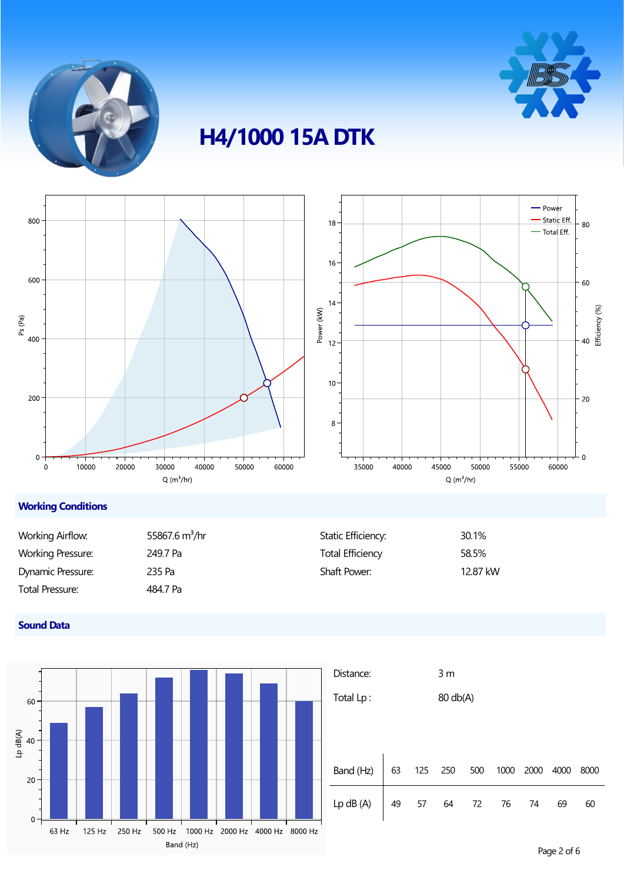



# **H4/1000 15A DTK**



### **Working Conditions**

| Working Airflow:  | 55867.6 $m^3$ /hr | Static Efficiency:      | 30.1%    |
|-------------------|-------------------|-------------------------|----------|
| Working Pressure: | 249.7 Pa          | <b>Total Efficiency</b> | 58.5%    |
| Dynamic Pressure: | 235 Pa            | <b>Shaft Power:</b>     | 12.87 kW |
| Total Pressure:   | 484.7 Pa          |                         |          |

### **Sound Data**



| Distance:                                                             |  |  | 3 <sub>m</sub> |          |      |      |      |      |
|-----------------------------------------------------------------------|--|--|----------------|----------|------|------|------|------|
| Total Lp:                                                             |  |  |                | 80 db(A) |      |      |      |      |
|                                                                       |  |  |                |          |      |      |      |      |
|                                                                       |  |  |                |          |      |      |      |      |
|                                                                       |  |  |                |          |      |      |      |      |
| Band (Hz) $\Big  63 \Big  125 \Big  250 \Big  500$                    |  |  |                |          | 1000 | 2000 | 4000 | 8000 |
| Lp dB (A) $\begin{vmatrix} 49 & 57 & 64 & 72 & 76 & 74 \end{vmatrix}$ |  |  |                |          |      |      | 69   | 60   |
|                                                                       |  |  |                |          |      |      |      |      |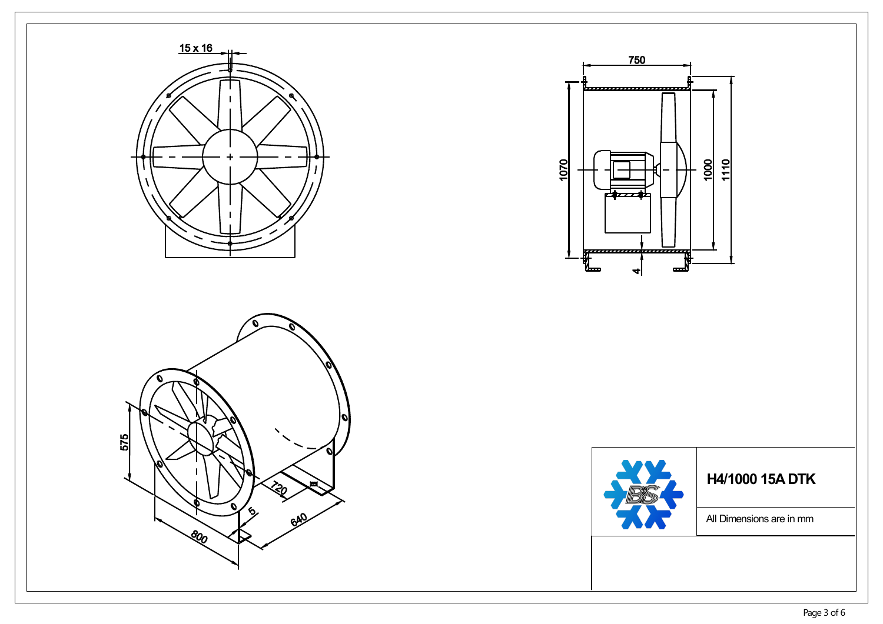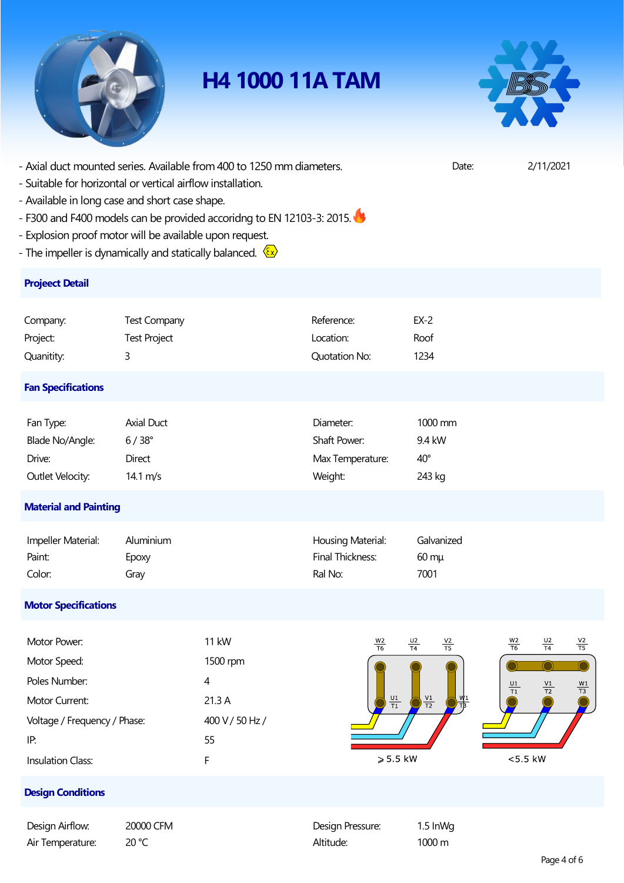

## **H4 1000 11A TAM**



- Axial duct mounted series. Available from 400 to 1250 mm diameters. Date: 2/11/2021

- Suitable for horizontal or vertical airflow installation.
- Available in long case and short case shape.
- F300 and F400 models can be provided accoridng to EN 12103-3: 2015.
- Explosion proof motor will be available upon request.
- The impeller is dynamically and statically balanced.  $\frac{\sqrt{\epsilon}x}{x}$

### **Projeect Detail**

| Company:                     | <b>Test Company</b> | Reference:           | $EX-2$       |  |  |  |
|------------------------------|---------------------|----------------------|--------------|--|--|--|
| Project:                     | <b>Test Project</b> | Location:            | Roof         |  |  |  |
| Quanitity:                   | 3                   | <b>Quotation No:</b> | 1234         |  |  |  |
| <b>Fan Specifications</b>    |                     |                      |              |  |  |  |
| Fan Type:                    | Axial Duct          | Diameter:            | 1000 mm      |  |  |  |
| Blade No/Angle:              | $6/38^{\circ}$      | Shaft Power:         | 9.4 kW       |  |  |  |
| Drive:                       | Direct              | Max Temperature:     | $40^{\circ}$ |  |  |  |
| Outlet Velocity:             | 14.1 $m/s$          | Weight:              | 243 kg       |  |  |  |
| <b>Material and Painting</b> |                     |                      |              |  |  |  |

| Impeller Material: | Aluminium | Housing Material: | Galvanized      |
|--------------------|-----------|-------------------|-----------------|
| Paint:             | Epoxy     | Final Thickness:  | $60 \text{ mu}$ |
| Color:             | Grav      | Ral No:           | 7001            |

### **Motor Specifications**

| Motor Power:                 | <b>11 kW</b>    | $\frac{W2}{T6}$<br>$\frac{U2}{T4}$<br>$\frac{V2}{T5}$ | $\frac{W2}{T6}$<br>$\frac{V2}{T5}$<br>$\frac{U2}{T4}$                   |
|------------------------------|-----------------|-------------------------------------------------------|-------------------------------------------------------------------------|
| Motor Speed:                 | 1500 rpm        |                                                       |                                                                         |
| Poles Number:                | 4               |                                                       | $\frac{W1}{T3}$<br>$\frac{\mathsf{U1}}{\mathsf{T1}}$<br>$\frac{V1}{T2}$ |
| Motor Current:               | 21.3A           | $\frac{V1}{T2}$<br>W <sub>1</sub><br>$\frac{U1}{T1}$  |                                                                         |
| Voltage / Frequency / Phase: | 400 V / 50 Hz / |                                                       |                                                                         |
| IP:                          | 55              |                                                       |                                                                         |
| <b>Insulation Class:</b>     |                 | $\geqslant$ 5.5 kW                                    | $<$ 5 5 kW                                                              |

#### **Design Conditions**

| Design Airflow:  | 20000 CFM | Design Pressure: | $1.5 \ln M$ |
|------------------|-----------|------------------|-------------|
| Air Temperature: | 20 °C     | Altitude:        | 1000 m      |

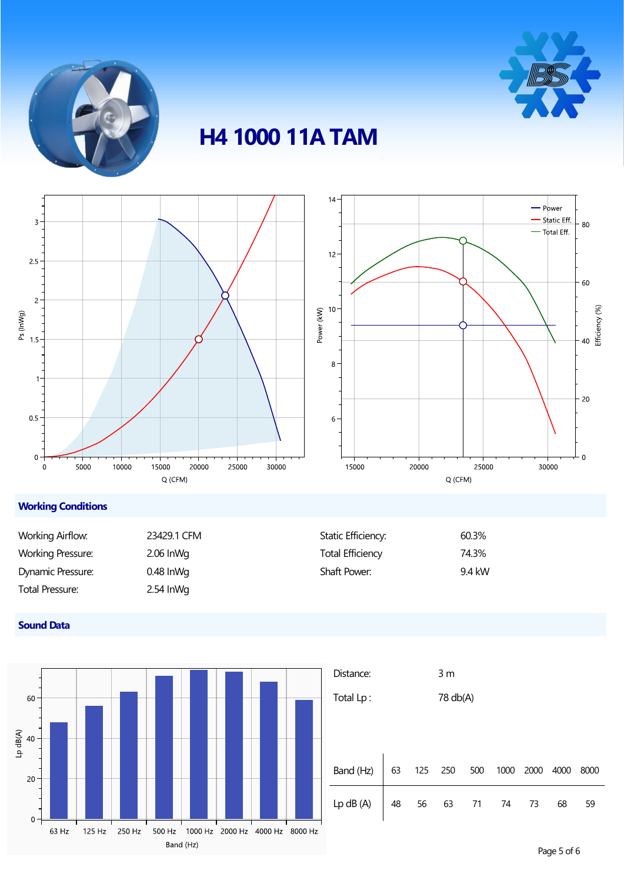



## **H4 1000 11A TAM**



### **Working Conditions**

| Working Airflow:         | 23429.1 CFM | Static Efficiency: | 60.3%  |
|--------------------------|-------------|--------------------|--------|
| <b>Working Pressure:</b> | $2.06$ InWg | Total Efficiency   | 74.3%  |
| Dynamic Pressure:        | $0.48$ lnWg | Shaft Power:       | 9.4 kW |
| Total Pressure:          | $2.54$ InWg |                    |        |

### **Sound Data**



| Distance:                                                             |  |  | 3 <sub>m</sub> |      |      |      |      |
|-----------------------------------------------------------------------|--|--|----------------|------|------|------|------|
| Total Lp:                                                             |  |  | 78 db(A)       |      |      |      |      |
|                                                                       |  |  |                |      |      |      |      |
|                                                                       |  |  |                |      |      |      |      |
|                                                                       |  |  |                |      |      |      |      |
| Band (Hz) $\Big  63 \Big  125 \Big  250 \Big  500$                    |  |  |                | 1000 | 2000 | 4000 | 8000 |
| Lp dB (A) $\begin{vmatrix} 48 & 56 & 63 & 71 & 74 & 73 \end{vmatrix}$ |  |  |                |      |      | 68   | 59   |
|                                                                       |  |  |                |      |      |      |      |